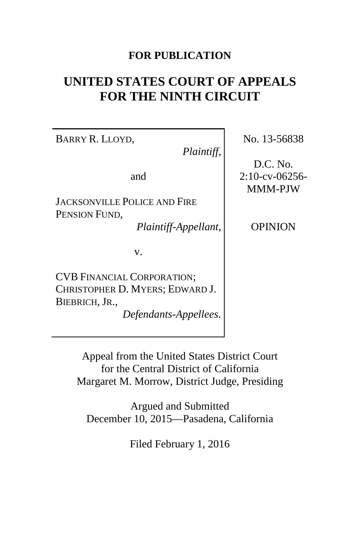## **FOR PUBLICATION**

# **UNITED STATES COURT OF APPEALS FOR THE NINTH CIRCUIT**

BARRY R. LLOYD,

*Plaintiff*,

and

JACKSONVILLE POLICE AND FIRE PENSION FUND,

*Plaintiff-Appellant*,

v.

CVB FINANCIAL CORPORATION; CHRISTOPHER D. MYERS; EDWARD J. BIEBRICH, JR.,

*Defendants-Appellees*.

No. 13-56838

D.C. No. 2:10-cv-06256- MMM-PJW

OPINION

Appeal from the United States District Court for the Central District of California Margaret M. Morrow, District Judge, Presiding

Argued and Submitted December 10, 2015—Pasadena, California

Filed February 1, 2016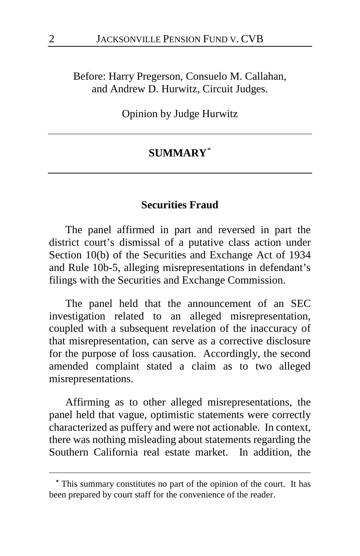Before: Harry Pregerson, Consuelo M. Callahan, and Andrew D. Hurwitz, Circuit Judges.

Opinion by Judge Hurwitz

#### **SUMMARY**[\\*](#page-1-0)

#### **Securities Fraud**

The panel affirmed in part and reversed in part the district court's dismissal of a putative class action under Section 10(b) of the Securities and Exchange Act of 1934 and Rule 10b-5, alleging misrepresentations in defendant's filings with the Securities and Exchange Commission.

The panel held that the announcement of an SEC investigation related to an alleged misrepresentation, coupled with a subsequent revelation of the inaccuracy of that misrepresentation, can serve as a corrective disclosure for the purpose of loss causation. Accordingly, the second amended complaint stated a claim as to two alleged misrepresentations.

Affirming as to other alleged misrepresentations, the panel held that vague, optimistic statements were correctly characterized as puffery and were not actionable. In context, there was nothing misleading about statements regarding the Southern California real estate market. In addition, the

 $\overline{a}$ 

<span id="page-1-0"></span>**<sup>\*</sup>** This summary constitutes no part of the opinion of the court. It has been prepared by court staff for the convenience of the reader.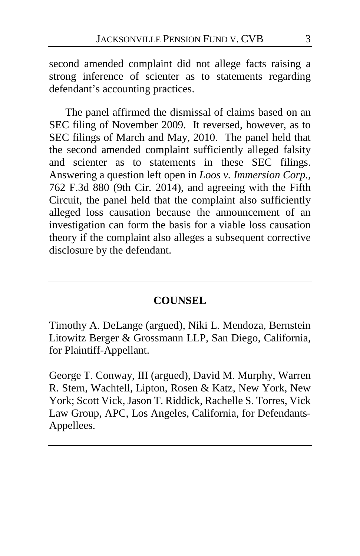second amended complaint did not allege facts raising a strong inference of scienter as to statements regarding defendant's accounting practices.

The panel affirmed the dismissal of claims based on an SEC filing of November 2009. It reversed, however, as to SEC filings of March and May, 2010. The panel held that the second amended complaint sufficiently alleged falsity and scienter as to statements in these SEC filings. Answering a question left open in *Loos v. Immersion Corp.*, 762 F.3d 880 (9th Cir. 2014), and agreeing with the Fifth Circuit, the panel held that the complaint also sufficiently alleged loss causation because the announcement of an investigation can form the basis for a viable loss causation theory if the complaint also alleges a subsequent corrective disclosure by the defendant.

#### **COUNSEL**

Timothy A. DeLange (argued), Niki L. Mendoza, Bernstein Litowitz Berger & Grossmann LLP, San Diego, California, for Plaintiff-Appellant.

George T. Conway, III (argued), David M. Murphy, Warren R. Stern, Wachtell, Lipton, Rosen & Katz, New York, New York; Scott Vick, Jason T. Riddick, Rachelle S. Torres, Vick Law Group, APC, Los Angeles, California, for Defendants-Appellees.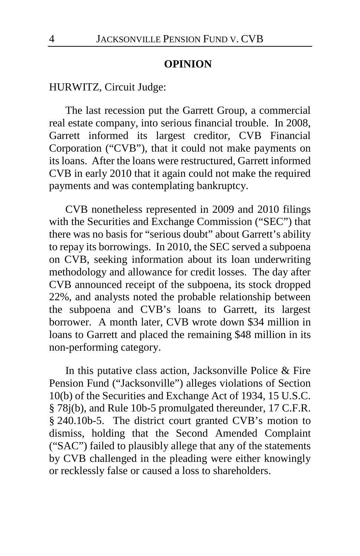#### **OPINION**

HURWITZ, Circuit Judge:

The last recession put the Garrett Group, a commercial real estate company, into serious financial trouble. In 2008, Garrett informed its largest creditor, CVB Financial Corporation ("CVB"), that it could not make payments on its loans. After the loans were restructured, Garrett informed CVB in early 2010 that it again could not make the required payments and was contemplating bankruptcy.

CVB nonetheless represented in 2009 and 2010 filings with the Securities and Exchange Commission ("SEC") that there was no basis for "serious doubt" about Garrett's ability to repay its borrowings. In 2010, the SEC served a subpoena on CVB, seeking information about its loan underwriting methodology and allowance for credit losses. The day after CVB announced receipt of the subpoena, its stock dropped 22%, and analysts noted the probable relationship between the subpoena and CVB's loans to Garrett, its largest borrower. A month later, CVB wrote down \$34 million in loans to Garrett and placed the remaining \$48 million in its non-performing category.

In this putative class action, Jacksonville Police & Fire Pension Fund ("Jacksonville") alleges violations of Section 10(b) of the Securities and Exchange Act of 1934, 15 U.S.C. § 78j(b), and Rule 10b-5 promulgated thereunder, 17 C.F.R. § 240.10b-5. The district court granted CVB's motion to dismiss, holding that the Second Amended Complaint ("SAC") failed to plausibly allege that any of the statements by CVB challenged in the pleading were either knowingly or recklessly false or caused a loss to shareholders.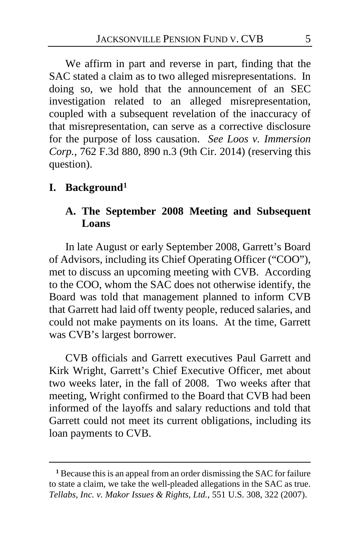We affirm in part and reverse in part, finding that the SAC stated a claim as to two alleged misrepresentations. In doing so, we hold that the announcement of an SEC investigation related to an alleged misrepresentation, coupled with a subsequent revelation of the inaccuracy of that misrepresentation, can serve as a corrective disclosure for the purpose of loss causation. *See Loos v. Immersion Corp.*, 762 F.3d 880, 890 n.3 (9th Cir. 2014) (reserving this question).

## **I. Background[1](#page-4-0)**

 $\overline{a}$ 

## **A. The September 2008 Meeting and Subsequent Loans**

In late August or early September 2008, Garrett's Board of Advisors, including its Chief Operating Officer ("COO"), met to discuss an upcoming meeting with CVB. According to the COO, whom the SAC does not otherwise identify, the Board was told that management planned to inform CVB that Garrett had laid off twenty people, reduced salaries, and could not make payments on its loans. At the time, Garrett was CVB's largest borrower.

CVB officials and Garrett executives Paul Garrett and Kirk Wright, Garrett's Chief Executive Officer, met about two weeks later, in the fall of 2008. Two weeks after that meeting, Wright confirmed to the Board that CVB had been informed of the layoffs and salary reductions and told that Garrett could not meet its current obligations, including its loan payments to CVB.

<span id="page-4-0"></span>**<sup>1</sup>** Because this is an appeal from an order dismissing the SAC for failure to state a claim, we take the well-pleaded allegations in the SAC as true. *Tellabs, Inc. v. Makor Issues & Rights, Ltd.*, 551 U.S. 308, 322 (2007).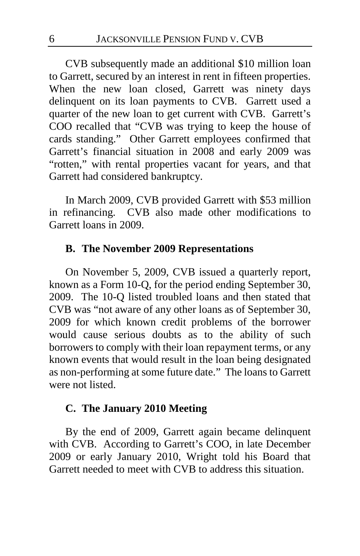CVB subsequently made an additional \$10 million loan to Garrett, secured by an interest in rent in fifteen properties. When the new loan closed, Garrett was ninety days delinquent on its loan payments to CVB. Garrett used a quarter of the new loan to get current with CVB. Garrett's COO recalled that "CVB was trying to keep the house of cards standing." Other Garrett employees confirmed that Garrett's financial situation in 2008 and early 2009 was "rotten," with rental properties vacant for years, and that Garrett had considered bankruptcy.

In March 2009, CVB provided Garrett with \$53 million in refinancing. CVB also made other modifications to Garrett loans in 2009.

## **B. The November 2009 Representations**

On November 5, 2009, CVB issued a quarterly report, known as a Form 10-Q, for the period ending September 30, 2009. The 10-Q listed troubled loans and then stated that CVB was "not aware of any other loans as of September 30, 2009 for which known credit problems of the borrower would cause serious doubts as to the ability of such borrowers to comply with their loan repayment terms, or any known events that would result in the loan being designated as non-performing at some future date." The loans to Garrett were not listed.

## **C. The January 2010 Meeting**

By the end of 2009, Garrett again became delinquent with CVB. According to Garrett's COO, in late December 2009 or early January 2010, Wright told his Board that Garrett needed to meet with CVB to address this situation.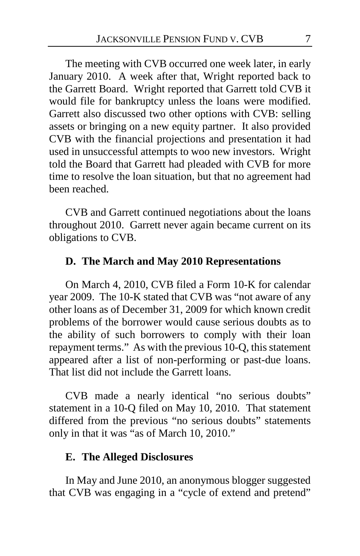The meeting with CVB occurred one week later, in early January 2010. A week after that, Wright reported back to the Garrett Board. Wright reported that Garrett told CVB it would file for bankruptcy unless the loans were modified. Garrett also discussed two other options with CVB: selling assets or bringing on a new equity partner. It also provided CVB with the financial projections and presentation it had used in unsuccessful attempts to woo new investors. Wright told the Board that Garrett had pleaded with CVB for more time to resolve the loan situation, but that no agreement had been reached.

CVB and Garrett continued negotiations about the loans throughout 2010. Garrett never again became current on its obligations to CVB.

#### **D. The March and May 2010 Representations**

On March 4, 2010, CVB filed a Form 10-K for calendar year 2009. The 10-K stated that CVB was "not aware of any other loans as of December 31, 2009 for which known credit problems of the borrower would cause serious doubts as to the ability of such borrowers to comply with their loan repayment terms." As with the previous 10-Q, this statement appeared after a list of non-performing or past-due loans. That list did not include the Garrett loans.

CVB made a nearly identical "no serious doubts" statement in a 10-Q filed on May 10, 2010. That statement differed from the previous "no serious doubts" statements only in that it was "as of March 10, 2010."

#### **E. The Alleged Disclosures**

In May and June 2010, an anonymous blogger suggested that CVB was engaging in a "cycle of extend and pretend"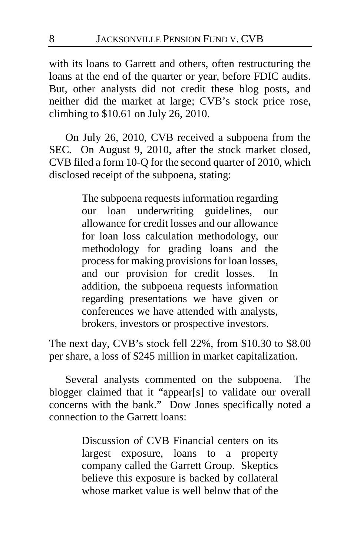with its loans to Garrett and others, often restructuring the loans at the end of the quarter or year, before FDIC audits. But, other analysts did not credit these blog posts, and neither did the market at large; CVB's stock price rose, climbing to \$10.61 on July 26, 2010.

On July 26, 2010, CVB received a subpoena from the SEC. On August 9, 2010, after the stock market closed, CVB filed a form 10-Q for the second quarter of 2010, which disclosed receipt of the subpoena, stating:

> The subpoena requests information regarding our loan underwriting guidelines, our allowance for credit losses and our allowance for loan loss calculation methodology, our methodology for grading loans and the process for making provisions for loan losses, and our provision for credit losses. In addition, the subpoena requests information regarding presentations we have given or conferences we have attended with analysts, brokers, investors or prospective investors.

The next day, CVB's stock fell 22%, from \$10.30 to \$8.00 per share, a loss of \$245 million in market capitalization.

Several analysts commented on the subpoena. The blogger claimed that it "appear[s] to validate our overall concerns with the bank." Dow Jones specifically noted a connection to the Garrett loans:

> Discussion of CVB Financial centers on its largest exposure, loans to a property company called the Garrett Group. Skeptics believe this exposure is backed by collateral whose market value is well below that of the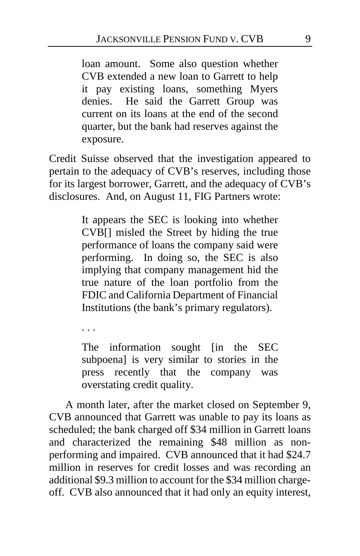loan amount. Some also question whether CVB extended a new loan to Garrett to help it pay existing loans, something Myers denies. He said the Garrett Group was current on its loans at the end of the second quarter, but the bank had reserves against the exposure.

Credit Suisse observed that the investigation appeared to pertain to the adequacy of CVB's reserves, including those for its largest borrower, Garrett, and the adequacy of CVB's disclosures. And, on August 11, FIG Partners wrote:

> It appears the SEC is looking into whether CVB[] misled the Street by hiding the true performance of loans the company said were performing. In doing so, the SEC is also implying that company management hid the true nature of the loan portfolio from the FDIC and California Department of Financial Institutions (the bank's primary regulators).

. . .

The information sought [in the SEC subpoena] is very similar to stories in the press recently that the company was overstating credit quality.

A month later, after the market closed on September 9, CVB announced that Garrett was unable to pay its loans as scheduled; the bank charged off \$34 million in Garrett loans and characterized the remaining \$48 million as nonperforming and impaired. CVB announced that it had \$24.7 million in reserves for credit losses and was recording an additional \$9.3 million to account for the \$34 million chargeoff. CVB also announced that it had only an equity interest,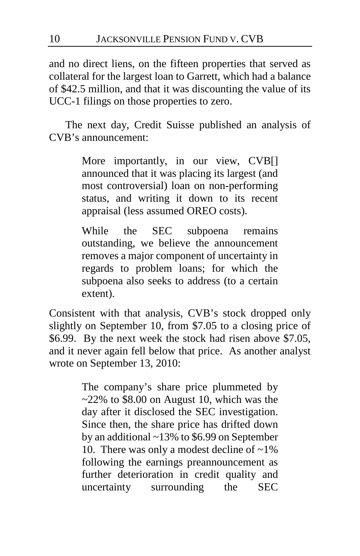and no direct liens, on the fifteen properties that served as collateral for the largest loan to Garrett, which had a balance of \$42.5 million, and that it was discounting the value of its UCC-1 filings on those properties to zero.

The next day, Credit Suisse published an analysis of CVB's announcement:

> More importantly, in our view, CVB[] announced that it was placing its largest (and most controversial) loan on non-performing status, and writing it down to its recent appraisal (less assumed OREO costs).

> While the SEC subpoena remains outstanding, we believe the announcement removes a major component of uncertainty in regards to problem loans; for which the subpoena also seeks to address (to a certain extent).

Consistent with that analysis, CVB's stock dropped only slightly on September 10, from \$7.05 to a closing price of \$6.99. By the next week the stock had risen above \$7.05, and it never again fell below that price. As another analyst wrote on September 13, 2010:

> The company's share price plummeted by  $\approx$  22% to \$8.00 on August 10, which was the day after it disclosed the SEC investigation. Since then, the share price has drifted down by an additional ~13% to \$6.99 on September 10. There was only a modest decline of  $\sim$ 1% following the earnings preannouncement as further deterioration in credit quality and uncertainty surrounding the SEC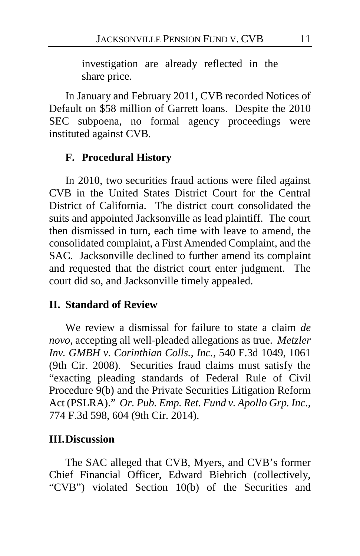investigation are already reflected in the share price.

In January and February 2011, CVB recorded Notices of Default on \$58 million of Garrett loans. Despite the 2010 SEC subpoena, no formal agency proceedings were instituted against CVB.

#### **F. Procedural History**

In 2010, two securities fraud actions were filed against CVB in the United States District Court for the Central District of California. The district court consolidated the suits and appointed Jacksonville as lead plaintiff. The court then dismissed in turn, each time with leave to amend, the consolidated complaint, a First Amended Complaint, and the SAC. Jacksonville declined to further amend its complaint and requested that the district court enter judgment. The court did so, and Jacksonville timely appealed.

#### **II. Standard of Review**

We review a dismissal for failure to state a claim *de novo*, accepting all well-pleaded allegations as true. *Metzler Inv. GMBH v. Corinthian Colls., Inc.*, 540 F.3d 1049, 1061 (9th Cir. 2008). Securities fraud claims must satisfy the "exacting pleading standards of Federal Rule of Civil Procedure 9(b) and the Private Securities Litigation Reform Act (PSLRA)." *Or. Pub. Emp. Ret. Fund v. Apollo Grp. Inc.*, 774 F.3d 598, 604 (9th Cir. 2014).

#### **III.Discussion**

The SAC alleged that CVB, Myers, and CVB's former Chief Financial Officer, Edward Biebrich (collectively, "CVB") violated Section 10(b) of the Securities and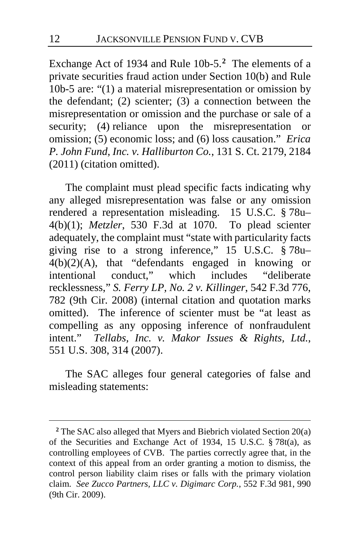Exchange Act of 1934 and Rule 10b-5.**[2](#page-11-0)** The elements of a private securities fraud action under Section 10(b) and Rule 10b-5 are: "(1) a material misrepresentation or omission by the defendant; (2) scienter; (3) a connection between the misrepresentation or omission and the purchase or sale of a security; (4) reliance upon the misrepresentation or omission; (5) economic loss; and (6) loss causation." *Erica P. John Fund, Inc. v. Halliburton Co.*, 131 S. Ct. 2179, 2184 (2011) (citation omitted).

The complaint must plead specific facts indicating why any alleged misrepresentation was false or any omission rendered a representation misleading. 15 U.S.C. § 78u– 4(b)(1); *Metzler*, 530 F.3d at 1070. To plead scienter adequately, the complaint must "state with particularity facts giving rise to a strong inference,"  $15$  U.S.C.  $\frac{8}{3}$  78u– 4(b)(2)(A), that "defendants engaged in knowing or intentional conduct," which includes "deliberate recklessness," *S. Ferry LP, No. 2 v. Killinger*, 542 F.3d 776, 782 (9th Cir. 2008) (internal citation and quotation marks omitted). The inference of scienter must be "at least as compelling as any opposing inference of nonfraudulent intent." *Tellabs, Inc. v. Makor Issues & Rights, Ltd.*, 551 U.S. 308, 314 (2007).

The SAC alleges four general categories of false and misleading statements:

 $\overline{a}$ 

<span id="page-11-0"></span>**<sup>2</sup>** The SAC also alleged that Myers and Biebrich violated Section 20(a) of the Securities and Exchange Act of 1934, 15 U.S.C. § 78t(a), as controlling employees of CVB. The parties correctly agree that, in the context of this appeal from an order granting a motion to dismiss, the control person liability claim rises or falls with the primary violation claim. *See Zucco Partners, LLC v. Digimarc Corp.*, 552 F.3d 981, 990 (9th Cir. 2009).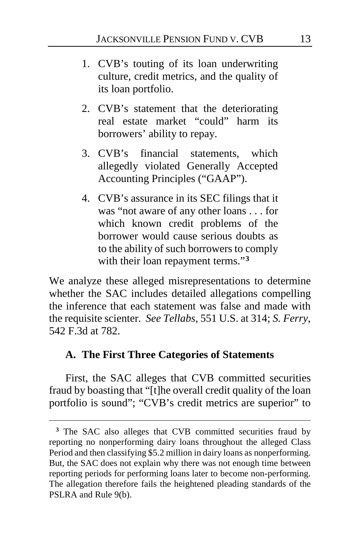- 1. CVB's touting of its loan underwriting culture, credit metrics, and the quality of its loan portfolio.
- 2. CVB's statement that the deteriorating real estate market "could" harm its borrowers' ability to repay.
- 3. CVB's financial statements, which allegedly violated Generally Accepted Accounting Principles ("GAAP").
- 4. CVB's assurance in its SEC filings that it was "not aware of any other loans . . . for which known credit problems of the borrower would cause serious doubts as to the ability of such borrowers to comply with their loan repayment terms."**[3](#page-12-0)**

We analyze these alleged misrepresentations to determine whether the SAC includes detailed allegations compelling the inference that each statement was false and made with the requisite scienter. *See Tellabs*, 551 U.S. at 314; *S. Ferry*, 542 F.3d at 782.

#### **A. The First Three Categories of Statements**

 $\overline{a}$ 

First, the SAC alleges that CVB committed securities fraud by boasting that "[t]he overall credit quality of the loan portfolio is sound"; "CVB's credit metrics are superior" to

<span id="page-12-0"></span><sup>&</sup>lt;sup>3</sup> The SAC also alleges that CVB committed securities fraud by reporting no nonperforming dairy loans throughout the alleged Class Period and then classifying \$5.2 million in dairy loans as nonperforming. But, the SAC does not explain why there was not enough time between reporting periods for performing loans later to become non-performing. The allegation therefore fails the heightened pleading standards of the PSLRA and Rule 9(b).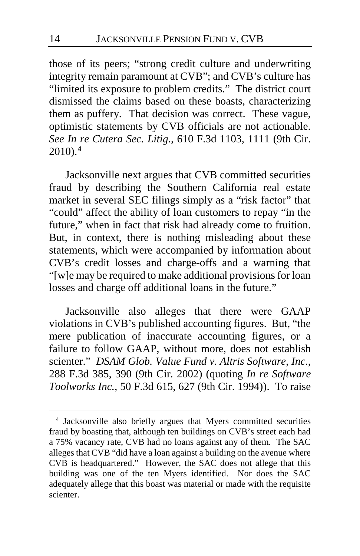those of its peers; "strong credit culture and underwriting integrity remain paramount at CVB"; and CVB's culture has "limited its exposure to problem credits." The district court dismissed the claims based on these boasts, characterizing them as puffery. That decision was correct. These vague, optimistic statements by CVB officials are not actionable. *See In re Cutera Sec. Litig.*, 610 F.3d 1103, 1111 (9th Cir. 2010).**[4](#page-13-0)**

Jacksonville next argues that CVB committed securities fraud by describing the Southern California real estate market in several SEC filings simply as a "risk factor" that "could" affect the ability of loan customers to repay "in the future," when in fact that risk had already come to fruition. But, in context, there is nothing misleading about these statements, which were accompanied by information about CVB's credit losses and charge-offs and a warning that "[w]e may be required to make additional provisions for loan losses and charge off additional loans in the future."

Jacksonville also alleges that there were GAAP violations in CVB's published accounting figures. But, "the mere publication of inaccurate accounting figures, or a failure to follow GAAP, without more, does not establish scienter." *DSAM Glob. Value Fund v. Altris Software, Inc.*, 288 F.3d 385, 390 (9th Cir. 2002) (quoting *In re Software Toolworks Inc.*, 50 F.3d 615, 627 (9th Cir. 1994)). To raise

<span id="page-13-0"></span> <sup>4</sup> Jacksonville also briefly argues that Myers committed securities fraud by boasting that, although ten buildings on CVB's street each had a 75% vacancy rate, CVB had no loans against any of them. The SAC alleges that CVB "did have a loan against a building on the avenue where CVB is headquartered." However, the SAC does not allege that this building was one of the ten Myers identified. Nor does the SAC adequately allege that this boast was material or made with the requisite scienter.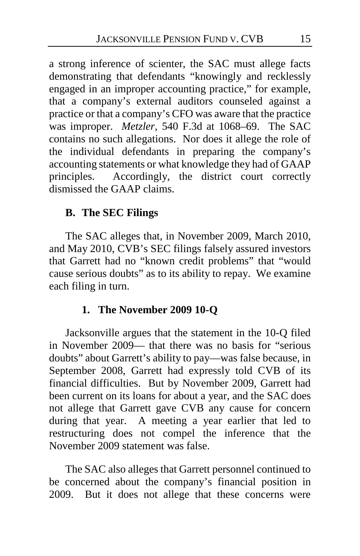a strong inference of scienter, the SAC must allege facts demonstrating that defendants "knowingly and recklessly engaged in an improper accounting practice," for example, that a company's external auditors counseled against a practice or that a company's CFO was aware that the practice was improper. *Metzler*, 540 F.3d at 1068–69. The SAC contains no such allegations. Nor does it allege the role of the individual defendants in preparing the company's accounting statements or what knowledge they had of GAAP principles. Accordingly, the district court correctly dismissed the GAAP claims.

## **B. The SEC Filings**

The SAC alleges that, in November 2009, March 2010, and May 2010, CVB's SEC filings falsely assured investors that Garrett had no "known credit problems" that "would cause serious doubts" as to its ability to repay. We examine each filing in turn.

## **1. The November 2009 10-Q**

Jacksonville argues that the statement in the 10-Q filed in November 2009— that there was no basis for "serious doubts" about Garrett's ability to pay—was false because, in September 2008, Garrett had expressly told CVB of its financial difficulties. But by November 2009, Garrett had been current on its loans for about a year, and the SAC does not allege that Garrett gave CVB any cause for concern during that year. A meeting a year earlier that led to restructuring does not compel the inference that the November 2009 statement was false.

The SAC also alleges that Garrett personnel continued to be concerned about the company's financial position in 2009. But it does not allege that these concerns were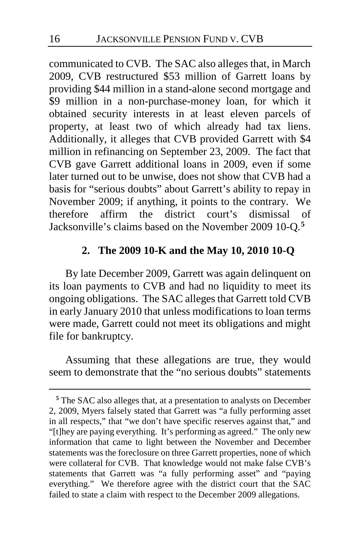communicated to CVB. The SAC also alleges that, in March 2009, CVB restructured \$53 million of Garrett loans by providing \$44 million in a stand-alone second mortgage and \$9 million in a non-purchase-money loan, for which it obtained security interests in at least eleven parcels of property, at least two of which already had tax liens. Additionally, it alleges that CVB provided Garrett with \$4 million in refinancing on September 23, 2009. The fact that CVB gave Garrett additional loans in 2009, even if some later turned out to be unwise, does not show that CVB had a basis for "serious doubts" about Garrett's ability to repay in November 2009; if anything, it points to the contrary. We therefore affirm the district court's dismissal of Jacksonville's claims based on the November 2009 10-Q.**[5](#page-15-0)**

## **2. The 2009 10-K and the May 10, 2010 10-Q**

By late December 2009, Garrett was again delinquent on its loan payments to CVB and had no liquidity to meet its ongoing obligations. The SAC alleges that Garrett told CVB in early January 2010 that unless modifications to loan terms were made, Garrett could not meet its obligations and might file for bankruptcy.

Assuming that these allegations are true, they would seem to demonstrate that the "no serious doubts" statements

 $\overline{a}$ 

<span id="page-15-0"></span>**<sup>5</sup>** The SAC also alleges that, at a presentation to analysts on December 2, 2009, Myers falsely stated that Garrett was "a fully performing asset in all respects," that "we don't have specific reserves against that," and "[t]hey are paying everything. It's performing as agreed." The only new information that came to light between the November and December statements was the foreclosure on three Garrett properties, none of which were collateral for CVB. That knowledge would not make false CVB's statements that Garrett was "a fully performing asset" and "paying everything." We therefore agree with the district court that the SAC failed to state a claim with respect to the December 2009 allegations.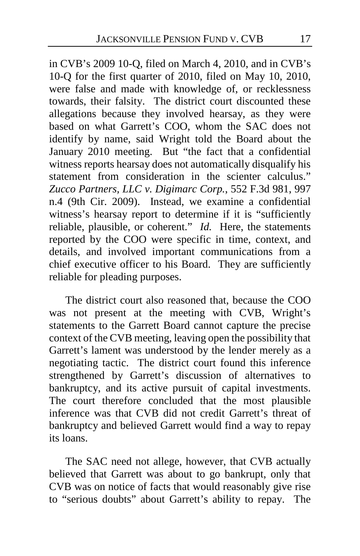in CVB's 2009 10-Q, filed on March 4, 2010, and in CVB's 10-Q for the first quarter of 2010, filed on May 10, 2010, were false and made with knowledge of, or recklessness towards, their falsity. The district court discounted these allegations because they involved hearsay, as they were based on what Garrett's COO, whom the SAC does not identify by name, said Wright told the Board about the January 2010 meeting. But "the fact that a confidential witness reports hearsay does not automatically disqualify his statement from consideration in the scienter calculus." *Zucco Partners, LLC v. Digimarc Corp.*, 552 F.3d 981, 997 n.4 (9th Cir. 2009). Instead, we examine a confidential witness's hearsay report to determine if it is "sufficiently reliable, plausible, or coherent." *Id.* Here, the statements reported by the COO were specific in time, context, and details, and involved important communications from a chief executive officer to his Board. They are sufficiently reliable for pleading purposes.

The district court also reasoned that, because the COO was not present at the meeting with CVB, Wright's statements to the Garrett Board cannot capture the precise context of the CVB meeting, leaving open the possibility that Garrett's lament was understood by the lender merely as a negotiating tactic. The district court found this inference strengthened by Garrett's discussion of alternatives to bankruptcy, and its active pursuit of capital investments. The court therefore concluded that the most plausible inference was that CVB did not credit Garrett's threat of bankruptcy and believed Garrett would find a way to repay its loans.

The SAC need not allege, however, that CVB actually believed that Garrett was about to go bankrupt, only that CVB was on notice of facts that would reasonably give rise to "serious doubts" about Garrett's ability to repay. The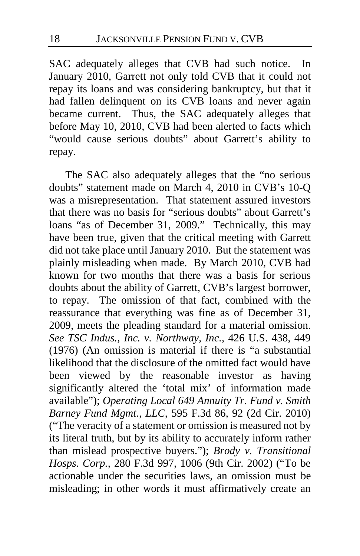SAC adequately alleges that CVB had such notice. In January 2010, Garrett not only told CVB that it could not repay its loans and was considering bankruptcy, but that it had fallen delinquent on its CVB loans and never again became current. Thus, the SAC adequately alleges that before May 10, 2010, CVB had been alerted to facts which "would cause serious doubts" about Garrett's ability to repay.

The SAC also adequately alleges that the "no serious doubts" statement made on March 4, 2010 in CVB's 10-Q was a misrepresentation. That statement assured investors that there was no basis for "serious doubts" about Garrett's loans "as of December 31, 2009." Technically, this may have been true, given that the critical meeting with Garrett did not take place until January 2010. But the statement was plainly misleading when made. By March 2010, CVB had known for two months that there was a basis for serious doubts about the ability of Garrett, CVB's largest borrower, to repay. The omission of that fact, combined with the reassurance that everything was fine as of December 31, 2009, meets the pleading standard for a material omission. *See TSC Indus., Inc. v. Northway, Inc.*, 426 U.S. 438, 449 (1976) (An omission is material if there is "a substantial likelihood that the disclosure of the omitted fact would have been viewed by the reasonable investor as having significantly altered the 'total mix' of information made available"); *Operating Local 649 Annuity Tr. Fund v. Smith Barney Fund Mgmt., LLC*, 595 F.3d 86, 92 (2d Cir. 2010) ("The veracity of a statement or omission is measured not by its literal truth, but by its ability to accurately inform rather than mislead prospective buyers."); *Brody v. Transitional Hosps. Corp.*, 280 F.3d 997, 1006 (9th Cir. 2002) ("To be actionable under the securities laws, an omission must be misleading; in other words it must affirmatively create an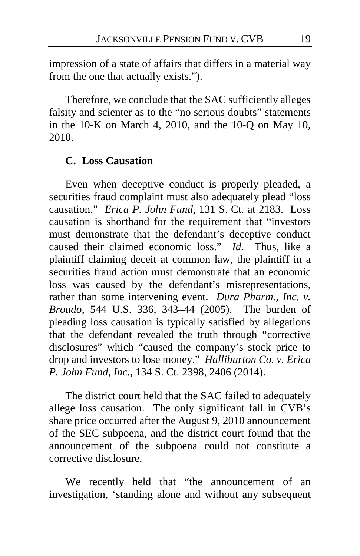impression of a state of affairs that differs in a material way from the one that actually exists.").

Therefore, we conclude that the SAC sufficiently alleges falsity and scienter as to the "no serious doubts" statements in the 10-K on March 4, 2010, and the 10-Q on May 10, 2010.

## **C. Loss Causation**

Even when deceptive conduct is properly pleaded, a securities fraud complaint must also adequately plead "loss causation." *Erica P. John Fund*, 131 S. Ct. at 2183. Loss causation is shorthand for the requirement that "investors must demonstrate that the defendant's deceptive conduct caused their claimed economic loss." *Id.* Thus, like a plaintiff claiming deceit at common law, the plaintiff in a securities fraud action must demonstrate that an economic loss was caused by the defendant's misrepresentations, rather than some intervening event. *Dura Pharm., Inc. v. Broudo*, 544 U.S. 336, 343–44 (2005). The burden of pleading loss causation is typically satisfied by allegations that the defendant revealed the truth through "corrective disclosures" which "caused the company's stock price to drop and investors to lose money." *Halliburton Co. v. Erica P. John Fund, Inc.*, 134 S. Ct. 2398, 2406 (2014).

The district court held that the SAC failed to adequately allege loss causation. The only significant fall in CVB's share price occurred after the August 9, 2010 announcement of the SEC subpoena, and the district court found that the announcement of the subpoena could not constitute a corrective disclosure.

We recently held that "the announcement of an investigation, 'standing alone and without any subsequent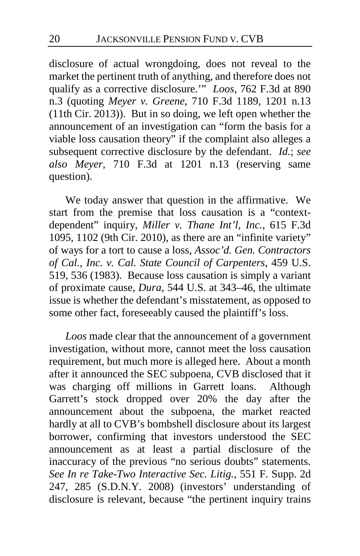disclosure of actual wrongdoing, does not reveal to the market the pertinent truth of anything, and therefore does not qualify as a corrective disclosure.'" *Loos*, 762 F.3d at 890 n.3 (quoting *Meyer v. Greene*, 710 F.3d 1189, 1201 n.13 (11th Cir. 2013)). But in so doing, we left open whether the announcement of an investigation can "form the basis for a viable loss causation theory" if the complaint also alleges a subsequent corrective disclosure by the defendant. *Id.*; *see also Meyer*, 710 F.3d at 1201 n.13 (reserving same question).

We today answer that question in the affirmative. We start from the premise that loss causation is a "contextdependent" inquiry, *Miller v. Thane Int'l, Inc.*, 615 F.3d 1095, 1102 (9th Cir. 2010), as there are an "infinite variety" of ways for a tort to cause a loss, *Assoc'd. Gen. Contractors of Cal., Inc. v. Cal. State Council of Carpenters*, 459 U.S. 519, 536 (1983). Because loss causation is simply a variant of proximate cause, *Dura*, 544 U.S. at 343–46, the ultimate issue is whether the defendant's misstatement, as opposed to some other fact, foreseeably caused the plaintiff's loss.

*Loos* made clear that the announcement of a government investigation, without more, cannot meet the loss causation requirement, but much more is alleged here. About a month after it announced the SEC subpoena, CVB disclosed that it was charging off millions in Garrett loans. Although Garrett's stock dropped over 20% the day after the announcement about the subpoena, the market reacted hardly at all to CVB's bombshell disclosure about its largest borrower, confirming that investors understood the SEC announcement as at least a partial disclosure of the inaccuracy of the previous "no serious doubts" statements. *See In re Take-Two Interactive Sec. Litig.*, 551 F. Supp. 2d 247, 285 (S.D.N.Y. 2008) (investors' understanding of disclosure is relevant, because "the pertinent inquiry trains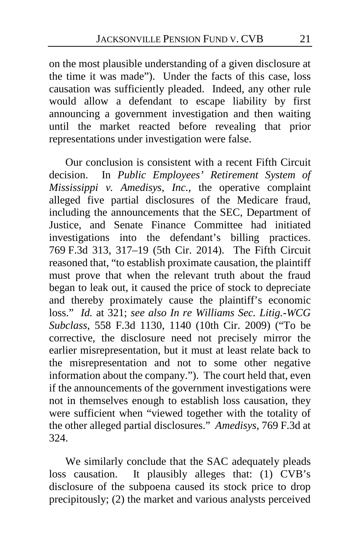on the most plausible understanding of a given disclosure at the time it was made"). Under the facts of this case, loss causation was sufficiently pleaded. Indeed, any other rule would allow a defendant to escape liability by first announcing a government investigation and then waiting until the market reacted before revealing that prior representations under investigation were false.

Our conclusion is consistent with a recent Fifth Circuit decision. In *Public Employees' Retirement System of Mississippi v. Amedisys, Inc.*, the operative complaint alleged five partial disclosures of the Medicare fraud, including the announcements that the SEC, Department of Justice, and Senate Finance Committee had initiated investigations into the defendant's billing practices. 769 F.3d 313, 317–19 (5th Cir. 2014). The Fifth Circuit reasoned that, "to establish proximate causation, the plaintiff must prove that when the relevant truth about the fraud began to leak out, it caused the price of stock to depreciate and thereby proximately cause the plaintiff's economic loss." *Id.* at 321; *see also In re Williams Sec. Litig.-WCG Subclass*, 558 F.3d 1130, 1140 (10th Cir. 2009) ("To be corrective, the disclosure need not precisely mirror the earlier misrepresentation, but it must at least relate back to the misrepresentation and not to some other negative information about the company."). The court held that, even if the announcements of the government investigations were not in themselves enough to establish loss causation, they were sufficient when "viewed together with the totality of the other alleged partial disclosures." *Amedisys*, 769 F.3d at 324.

We similarly conclude that the SAC adequately pleads loss causation. It plausibly alleges that: (1) CVB's disclosure of the subpoena caused its stock price to drop precipitously; (2) the market and various analysts perceived